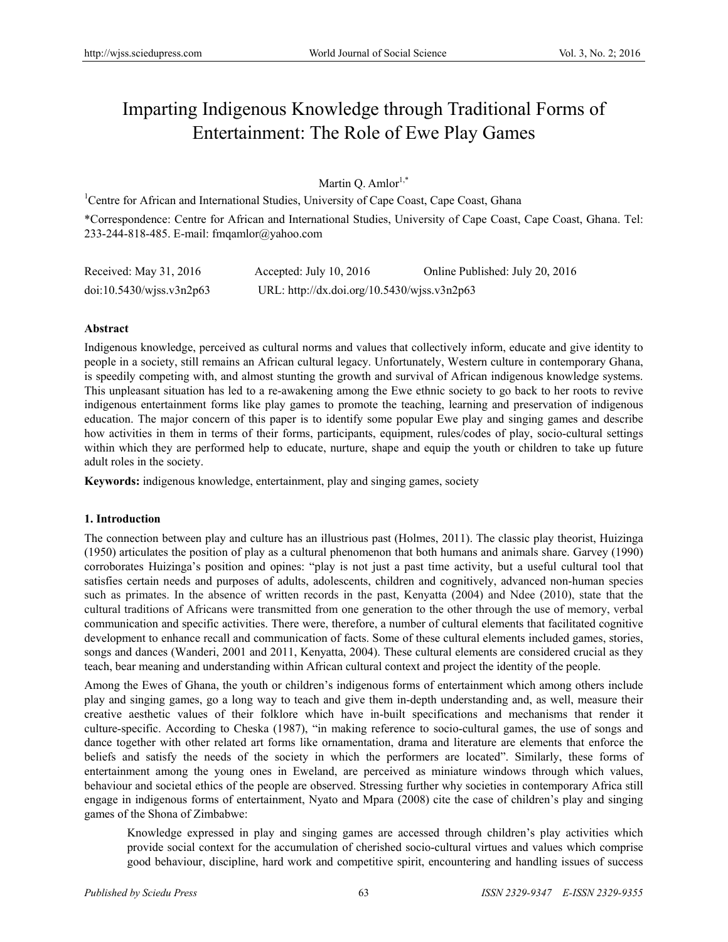# Imparting Indigenous Knowledge through Traditional Forms of Entertainment: The Role of Ewe Play Games

## Martin O. Amlor $1,$ <sup>\*</sup>

<sup>1</sup>Centre for African and International Studies, University of Cape Coast, Cape Coast, Ghana \*Correspondence: Centre for African and International Studies, University of Cape Coast, Cape Coast, Ghana. Tel: 233-244-818-485. E-mail: fmqamlor@yahoo.com

| Received: May 31, 2016         | Accepted: July 10, $2016$                   | Online Published: July 20, 2016 |
|--------------------------------|---------------------------------------------|---------------------------------|
| $doi:10.5430/w$ iss. $v3n2p63$ | URL: http://dx.doi.org/10.5430/wjss.v3n2p63 |                                 |

## **Abstract**

Indigenous knowledge, perceived as cultural norms and values that collectively inform, educate and give identity to people in a society, still remains an African cultural legacy. Unfortunately, Western culture in contemporary Ghana, is speedily competing with, and almost stunting the growth and survival of African indigenous knowledge systems. This unpleasant situation has led to a re-awakening among the Ewe ethnic society to go back to her roots to revive indigenous entertainment forms like play games to promote the teaching, learning and preservation of indigenous education. The major concern of this paper is to identify some popular Ewe play and singing games and describe how activities in them in terms of their forms, participants, equipment, rules/codes of play, socio-cultural settings within which they are performed help to educate, nurture, shape and equip the youth or children to take up future adult roles in the society.

**Keywords:** indigenous knowledge, entertainment, play and singing games, society

## **1. Introduction**

The connection between play and culture has an illustrious past (Holmes, 2011). The classic play theorist, Huizinga (1950) articulates the position of play as a cultural phenomenon that both humans and animals share. Garvey (1990) corroborates Huizinga's position and opines: "play is not just a past time activity, but a useful cultural tool that satisfies certain needs and purposes of adults, adolescents, children and cognitively, advanced non-human species such as primates. In the absence of written records in the past, Kenyatta (2004) and Ndee (2010), state that the cultural traditions of Africans were transmitted from one generation to the other through the use of memory, verbal communication and specific activities. There were, therefore, a number of cultural elements that facilitated cognitive development to enhance recall and communication of facts. Some of these cultural elements included games, stories, songs and dances (Wanderi, 2001 and 2011, Kenyatta, 2004). These cultural elements are considered crucial as they teach, bear meaning and understanding within African cultural context and project the identity of the people.

Among the Ewes of Ghana, the youth or children's indigenous forms of entertainment which among others include play and singing games, go a long way to teach and give them in-depth understanding and, as well, measure their creative aesthetic values of their folklore which have in-built specifications and mechanisms that render it culture-specific. According to Cheska (1987), "in making reference to socio-cultural games, the use of songs and dance together with other related art forms like ornamentation, drama and literature are elements that enforce the beliefs and satisfy the needs of the society in which the performers are located". Similarly, these forms of entertainment among the young ones in Eweland, are perceived as miniature windows through which values, behaviour and societal ethics of the people are observed. Stressing further why societies in contemporary Africa still engage in indigenous forms of entertainment, Nyato and Mpara (2008) cite the case of children's play and singing games of the Shona of Zimbabwe:

Knowledge expressed in play and singing games are accessed through children's play activities which provide social context for the accumulation of cherished socio-cultural virtues and values which comprise good behaviour, discipline, hard work and competitive spirit, encountering and handling issues of success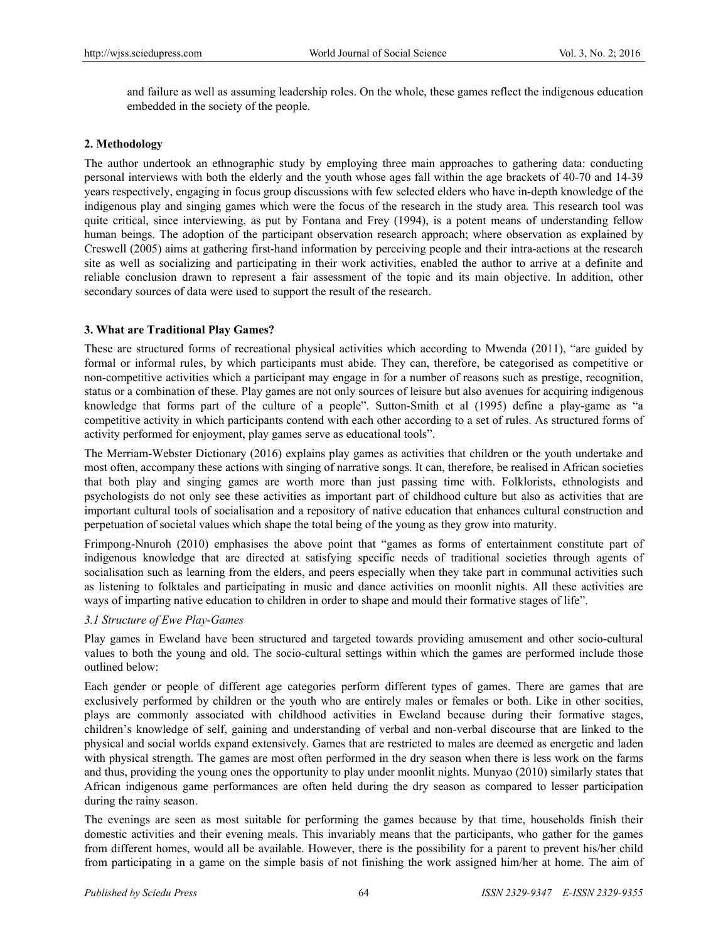and failure as well as assuming leadership roles. On the whole, these games reflect the indigenous education embedded in the society of the people.

## **2. Methodology**

The author undertook an ethnographic study by employing three main approaches to gathering data: conducting personal interviews with both the elderly and the youth whose ages fall within the age brackets of 40-70 and 14-39 years respectively, engaging in focus group discussions with few selected elders who have in-depth knowledge of the indigenous play and singing games which were the focus of the research in the study area*.* This research tool was quite critical, since interviewing, as put by Fontana and Frey (1994), is a potent means of understanding fellow human beings. The adoption of the participant observation research approach; where observation as explained by Creswell (2005) aims at gathering first-hand information by perceiving people and their intra-actions at the research site as well as socializing and participating in their work activities, enabled the author to arrive at a definite and reliable conclusion drawn to represent a fair assessment of the topic and its main objective. In addition, other secondary sources of data were used to support the result of the research.

## **3. What are Traditional Play Games?**

These are structured forms of recreational physical activities which according to Mwenda (2011), "are guided by formal or informal rules, by which participants must abide. They can, therefore, be categorised as competitive or non-competitive activities which a participant may engage in for a number of reasons such as prestige, recognition, status or a combination of these. Play games are not only sources of leisure but also avenues for acquiring indigenous knowledge that forms part of the culture of a people". Sutton-Smith et al (1995) define a play-game as "a competitive activity in which participants contend with each other according to a set of rules. As structured forms of activity performed for enjoyment, play games serve as educational tools".

The Merriam-Webster Dictionary (2016) explains play games as activities that children or the youth undertake and most often, accompany these actions with singing of narrative songs. It can, therefore, be realised in African societies that both play and singing games are worth more than just passing time with. Folklorists, ethnologists and psychologists do not only see these activities as important part of childhood culture but also as activities that are important cultural tools of socialisation and a repository of native education that enhances cultural construction and perpetuation of societal values which shape the total being of the young as they grow into maturity.

Frimpong-Nnuroh (2010) emphasises the above point that "games as forms of entertainment constitute part of indigenous knowledge that are directed at satisfying specific needs of traditional societies through agents of socialisation such as learning from the elders, and peers especially when they take part in communal activities such as listening to folktales and participating in music and dance activities on moonlit nights. All these activities are ways of imparting native education to children in order to shape and mould their formative stages of life".

## *3.1 Structure of Ewe Play-Games*

Play games in Eweland have been structured and targeted towards providing amusement and other socio-cultural values to both the young and old. The socio-cultural settings within which the games are performed include those outlined below:

Each gender or people of different age categories perform different types of games. There are games that are exclusively performed by children or the youth who are entirely males or females or both. Like in other socities, plays are commonly associated with childhood activities in Eweland because during their formative stages, children's knowledge of self, gaining and understanding of verbal and non-verbal discourse that are linked to the physical and social worlds expand extensively. Games that are restricted to males are deemed as energetic and laden with physical strength. The games are most often performed in the dry season when there is less work on the farms and thus, providing the young ones the opportunity to play under moonlit nights. Munyao (2010) similarly states that African indigenous game performances are often held during the dry season as compared to lesser participation during the rainy season.

The evenings are seen as most suitable for performing the games because by that time, households finish their domestic activities and their evening meals. This invariably means that the participants, who gather for the games from different homes, would all be available. However, there is the possibility for a parent to prevent his/her child from participating in a game on the simple basis of not finishing the work assigned him/her at home. The aim of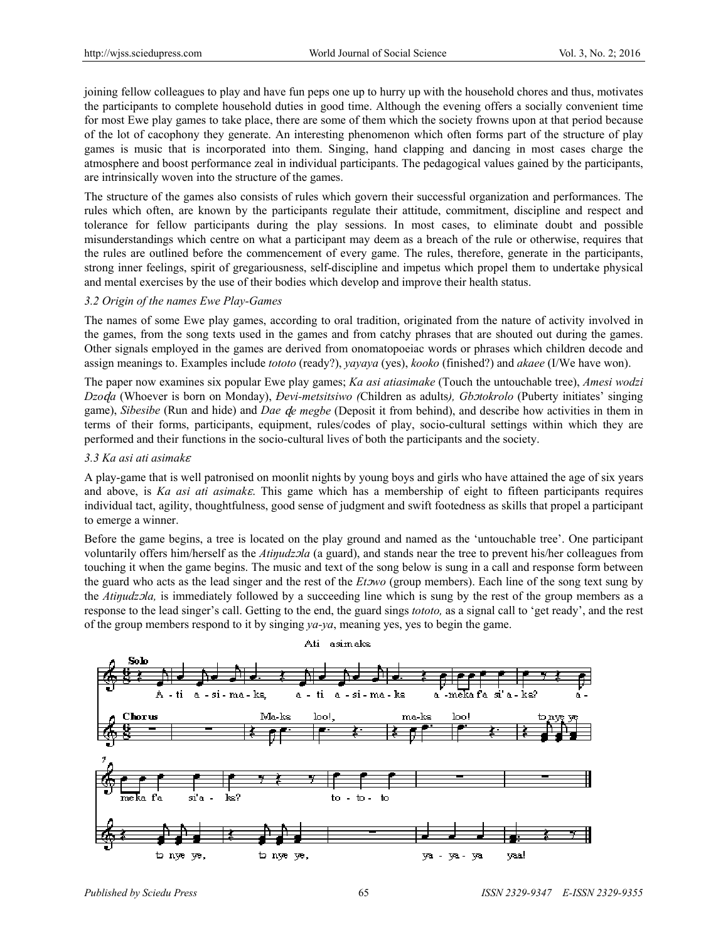joining fellow colleagues to play and have fun peps one up to hurry up with the household chores and thus, motivates the participants to complete household duties in good time. Although the evening offers a socially convenient time for most Ewe play games to take place, there are some of them which the society frowns upon at that period because of the lot of cacophony they generate. An interesting phenomenon which often forms part of the structure of play games is music that is incorporated into them. Singing, hand clapping and dancing in most cases charge the atmosphere and boost performance zeal in individual participants. The pedagogical values gained by the participants, are intrinsically woven into the structure of the games.

The structure of the games also consists of rules which govern their successful organization and performances. The rules which often, are known by the participants regulate their attitude, commitment, discipline and respect and tolerance for fellow participants during the play sessions. In most cases, to eliminate doubt and possible misunderstandings which centre on what a participant may deem as a breach of the rule or otherwise, requires that the rules are outlined before the commencement of every game. The rules, therefore, generate in the participants, strong inner feelings, spirit of gregariousness, self-discipline and impetus which propel them to undertake physical and mental exercises by the use of their bodies which develop and improve their health status.

#### *3.2 Origin of the names Ewe Play-Games*

The names of some Ewe play games, according to oral tradition, originated from the nature of activity involved in the games, from the song texts used in the games and from catchy phrases that are shouted out during the games. Other signals employed in the games are derived from onomatopoeiac words or phrases which children decode and assign meanings to. Examples include *tototo* (ready?), *yayaya* (yes), *kooko* (finished?) and *akaee* (I/We have won).

The paper now examines six popular Ewe play games; *Ka asi atiasimake* (Touch the untouchable tree), *Amesi wodzi Dzo*ɖ*a* (Whoever is born on Monday), *Ðevi-metsitsiwo (*Children as adults*), Gb*ɔ*tokrolo* (Puberty initiates' singing game), *Sibesibe* (Run and hide) and *Dae* ɖ*e megbe* (Deposit it from behind), and describe how activities in them in terms of their forms, participants, equipment, rules/codes of play, socio-cultural settings within which they are performed and their functions in the socio-cultural lives of both the participants and the society.

#### *3.3 Ka asi ati asimak*<sup>ɛ</sup>

A play-game that is well patronised on moonlit nights by young boys and girls who have attained the age of six years and above, is *Ka asi ati asimak*ɛ. This game which has a membership of eight to fifteen participants requires individual tact, agility, thoughtfulness, good sense of judgment and swift footedness as skills that propel a participant to emerge a winner.

Before the game begins, a tree is located on the play ground and named as the 'untouchable tree'. One participant voluntarily offers him/herself as the *Atiŋudz*ɔ*la* (a guard), and stands near the tree to prevent his/her colleagues from touching it when the game begins. The music and text of the song below is sung in a call and response form between the guard who acts as the lead singer and the rest of the *Et*ɔ*wo* (group members). Each line of the song text sung by the *Atiŋudz*ɔ*la,* is immediately followed by a succeeding line which is sung by the rest of the group members as a response to the lead singer's call. Getting to the end, the guard sings *tototo,* as a signal call to 'get ready', and the rest of the group members respond to it by singing *ya-ya*, meaning yes, yes to begin the game.



Ati asimaks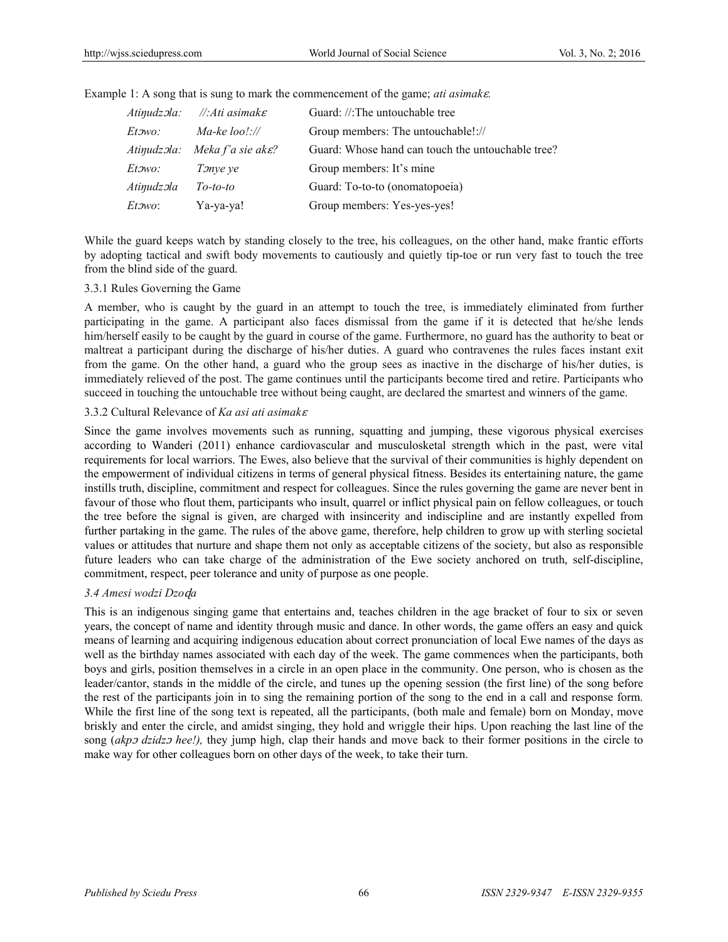Example 1: A song that is sung to mark the commencement of the game; *ati asimak*ɛ*.*

|                | Atinudz $\alpha$ : //:Ati asimak $\varepsilon$ | Guard: //:The untouchable tree                    |
|----------------|------------------------------------------------|---------------------------------------------------|
| <i>Etowo</i> : | Ma-ke $\log \frac{1}{\pi}$                     | Group members: The untouchable!://                |
|                | Atinudzzla: Meka f'a sie ake?                  | Guard: Whose hand can touch the untouchable tree? |
| <i>Etowo</i> : | Tonye ye                                       | Group members: It's mine                          |
| Atinudzola     | $To-to-to$                                     | Guard: To-to-to (onomatopoeia)                    |
| <i>Etowo</i> : | Ya-ya-ya!                                      | Group members: Yes-yes-yes!                       |

While the guard keeps watch by standing closely to the tree, his colleagues, on the other hand, make frantic efforts by adopting tactical and swift body movements to cautiously and quietly tip-toe or run very fast to touch the tree from the blind side of the guard.

#### 3.3.1 Rules Governing the Game

A member, who is caught by the guard in an attempt to touch the tree, is immediately eliminated from further participating in the game. A participant also faces dismissal from the game if it is detected that he/she lends him/herself easily to be caught by the guard in course of the game. Furthermore, no guard has the authority to beat or maltreat a participant during the discharge of his/her duties. A guard who contravenes the rules faces instant exit from the game. On the other hand, a guard who the group sees as inactive in the discharge of his/her duties, is immediately relieved of the post. The game continues until the participants become tired and retire. Participants who succeed in touching the untouchable tree without being caught, are declared the smartest and winners of the game.

## 3.3.2 Cultural Relevance of *Ka asi ati asimak*<sup>ɛ</sup>

Since the game involves movements such as running, squatting and jumping, these vigorous physical exercises according to Wanderi (2011) enhance cardiovascular and musculosketal strength which in the past, were vital requirements for local warriors. The Ewes, also believe that the survival of their communities is highly dependent on the empowerment of individual citizens in terms of general physical fitness. Besides its entertaining nature, the game instills truth, discipline, commitment and respect for colleagues. Since the rules governing the game are never bent in favour of those who flout them, participants who insult, quarrel or inflict physical pain on fellow colleagues, or touch the tree before the signal is given, are charged with insincerity and indiscipline and are instantly expelled from further partaking in the game. The rules of the above game, therefore, help children to grow up with sterling societal values or attitudes that nurture and shape them not only as acceptable citizens of the society, but also as responsible future leaders who can take charge of the administration of the Ewe society anchored on truth, self-discipline, commitment, respect, peer tolerance and unity of purpose as one people.

## *3.4 Amesi wodzi Dzo*ɖ*a*

This is an indigenous singing game that entertains and, teaches children in the age bracket of four to six or seven years, the concept of name and identity through music and dance. In other words, the game offers an easy and quick means of learning and acquiring indigenous education about correct pronunciation of local Ewe names of the days as well as the birthday names associated with each day of the week. The game commences when the participants, both boys and girls, position themselves in a circle in an open place in the community. One person, who is chosen as the leader/cantor, stands in the middle of the circle, and tunes up the opening session (the first line) of the song before the rest of the participants join in to sing the remaining portion of the song to the end in a call and response form. While the first line of the song text is repeated, all the participants, (both male and female) born on Monday, move briskly and enter the circle, and amidst singing, they hold and wriggle their hips. Upon reaching the last line of the song (*akp*ɔ *dzidz*ɔ *hee!),* they jump high, clap their hands and move back to their former positions in the circle to make way for other colleagues born on other days of the week, to take their turn.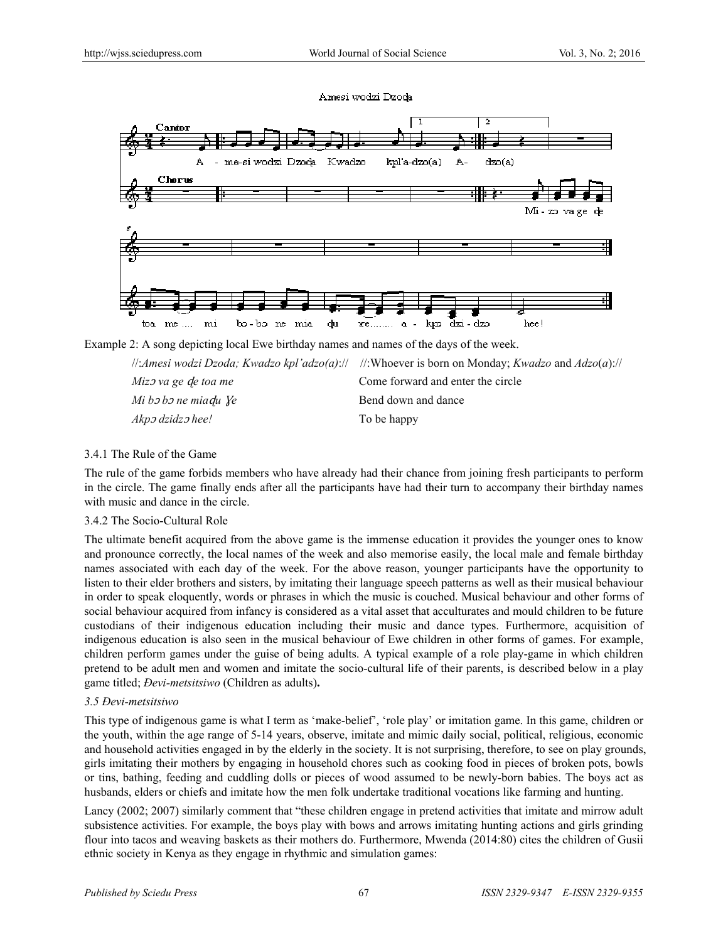#### Amesi wodzi Dzoda



|                      | //:Amesi wodzi Dzoda; Kwadzo kpl'adzo(a):// //:Whoever is born on Monday; Kwadzo and $Adzo(a)$ :// |
|----------------------|----------------------------------------------------------------------------------------------------|
| Mizo va ge de toa me | Come forward and enter the circle                                                                  |
| Mi bobo ne mia du Ye | Bend down and dance                                                                                |
| Akpo dzidzo hee!     | To be happy                                                                                        |

#### 3.4.1 The Rule of the Game

The rule of the game forbids members who have already had their chance from joining fresh participants to perform in the circle. The game finally ends after all the participants have had their turn to accompany their birthday names with music and dance in the circle.

#### 3.4.2 The Socio-Cultural Role

The ultimate benefit acquired from the above game is the immense education it provides the younger ones to know and pronounce correctly, the local names of the week and also memorise easily, the local male and female birthday names associated with each day of the week. For the above reason, younger participants have the opportunity to listen to their elder brothers and sisters, by imitating their language speech patterns as well as their musical behaviour in order to speak eloquently, words or phrases in which the music is couched. Musical behaviour and other forms of social behaviour acquired from infancy is considered as a vital asset that acculturates and mould children to be future custodians of their indigenous education including their music and dance types. Furthermore, acquisition of indigenous education is also seen in the musical behaviour of Ewe children in other forms of games. For example, children perform games under the guise of being adults. A typical example of a role play-game in which children pretend to be adult men and women and imitate the socio-cultural life of their parents, is described below in a play game titled; *Ðevi-metsitsiwo* (Children as adults)**.** 

## *3.5 Ðevi-metsitsiwo*

This type of indigenous game is what I term as 'make-belief', 'role play' or imitation game. In this game, children or the youth, within the age range of 5-14 years, observe, imitate and mimic daily social, political, religious, economic and household activities engaged in by the elderly in the society. It is not surprising, therefore, to see on play grounds, girls imitating their mothers by engaging in household chores such as cooking food in pieces of broken pots, bowls or tins, bathing, feeding and cuddling dolls or pieces of wood assumed to be newly-born babies. The boys act as husbands, elders or chiefs and imitate how the men folk undertake traditional vocations like farming and hunting.

Lancy (2002; 2007) similarly comment that "these children engage in pretend activities that imitate and mirrow adult subsistence activities. For example, the boys play with bows and arrows imitating hunting actions and girls grinding flour into tacos and weaving baskets as their mothers do. Furthermore, Mwenda (2014:80) cites the children of Gusii ethnic society in Kenya as they engage in rhythmic and simulation games: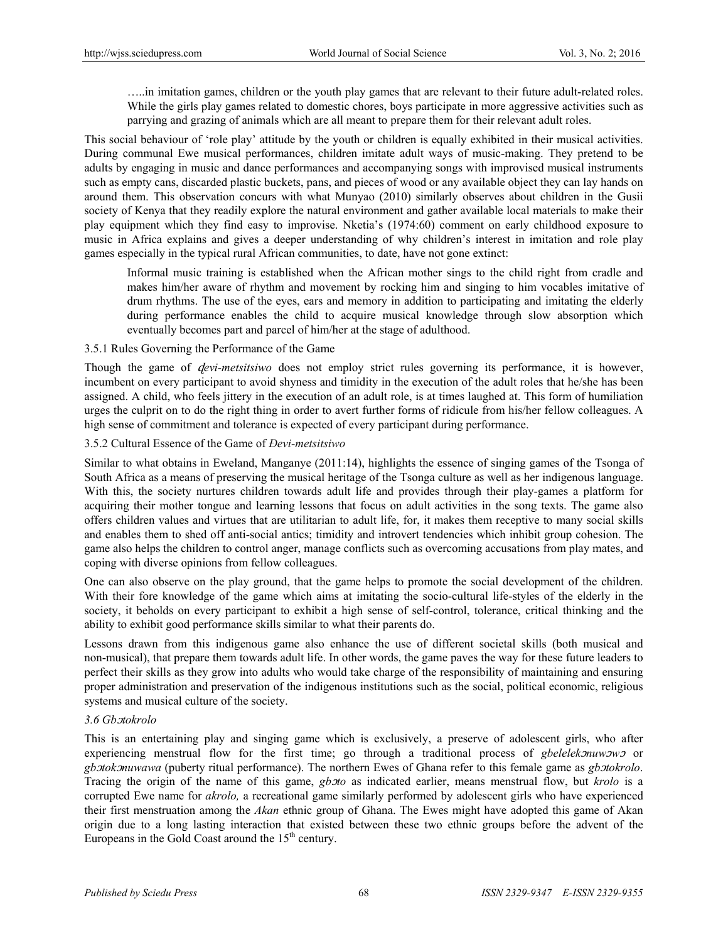…..in imitation games, children or the youth play games that are relevant to their future adult-related roles. While the girls play games related to domestic chores, boys participate in more aggressive activities such as parrying and grazing of animals which are all meant to prepare them for their relevant adult roles.

This social behaviour of 'role play' attitude by the youth or children is equally exhibited in their musical activities. During communal Ewe musical performances, children imitate adult ways of music-making. They pretend to be adults by engaging in music and dance performances and accompanying songs with improvised musical instruments such as empty cans, discarded plastic buckets, pans, and pieces of wood or any available object they can lay hands on around them. This observation concurs with what Munyao (2010) similarly observes about children in the Gusii society of Kenya that they readily explore the natural environment and gather available local materials to make their play equipment which they find easy to improvise. Nketia's (1974:60) comment on early childhood exposure to music in Africa explains and gives a deeper understanding of why children's interest in imitation and role play games especially in the typical rural African communities, to date, have not gone extinct:

Informal music training is established when the African mother sings to the child right from cradle and makes him/her aware of rhythm and movement by rocking him and singing to him vocables imitative of drum rhythms. The use of the eyes, ears and memory in addition to participating and imitating the elderly during performance enables the child to acquire musical knowledge through slow absorption which eventually becomes part and parcel of him/her at the stage of adulthood.

## 3.5.1 Rules Governing the Performance of the Game

Though the game of ɖ*evi-metsitsiwo* does not employ strict rules governing its performance, it is however, incumbent on every participant to avoid shyness and timidity in the execution of the adult roles that he/she has been assigned. A child, who feels jittery in the execution of an adult role, is at times laughed at. This form of humiliation urges the culprit on to do the right thing in order to avert further forms of ridicule from his/her fellow colleagues. A high sense of commitment and tolerance is expected of every participant during performance.

#### 3.5.2 Cultural Essence of the Game of *Ðevi-metsitsiwo*

Similar to what obtains in Eweland, Manganye (2011:14), highlights the essence of singing games of the Tsonga of South Africa as a means of preserving the musical heritage of the Tsonga culture as well as her indigenous language. With this, the society nurtures children towards adult life and provides through their play-games a platform for acquiring their mother tongue and learning lessons that focus on adult activities in the song texts. The game also offers children values and virtues that are utilitarian to adult life, for, it makes them receptive to many social skills and enables them to shed off anti-social antics; timidity and introvert tendencies which inhibit group cohesion. The game also helps the children to control anger, manage conflicts such as overcoming accusations from play mates, and coping with diverse opinions from fellow colleagues.

One can also observe on the play ground, that the game helps to promote the social development of the children. With their fore knowledge of the game which aims at imitating the socio-cultural life-styles of the elderly in the society, it beholds on every participant to exhibit a high sense of self-control, tolerance, critical thinking and the ability to exhibit good performance skills similar to what their parents do.

Lessons drawn from this indigenous game also enhance the use of different societal skills (both musical and non-musical), that prepare them towards adult life. In other words, the game paves the way for these future leaders to perfect their skills as they grow into adults who would take charge of the responsibility of maintaining and ensuring proper administration and preservation of the indigenous institutions such as the social, political economic, religious systems and musical culture of the society.

## *3.6 Gb*ɔ*tokrolo*

This is an entertaining play and singing game which is exclusively, a preserve of adolescent girls, who after experiencing menstrual flow for the first time; go through a traditional process of *gbelelek*onuwowo or *gb*ɔ*tok*ɔ*nuwawa* (puberty ritual performance). The northern Ewes of Ghana refer to this female game as *gb*ɔ*tokrolo*. Tracing the origin of the name of this game, *gb*ɔ*to* as indicated earlier, means menstrual flow, but *krolo* is a corrupted Ewe name for *akrolo,* a recreational game similarly performed by adolescent girls who have experienced their first menstruation among the *Akan* ethnic group of Ghana. The Ewes might have adopted this game of Akan origin due to a long lasting interaction that existed between these two ethnic groups before the advent of the Europeans in the Gold Coast around the  $15<sup>th</sup>$  century.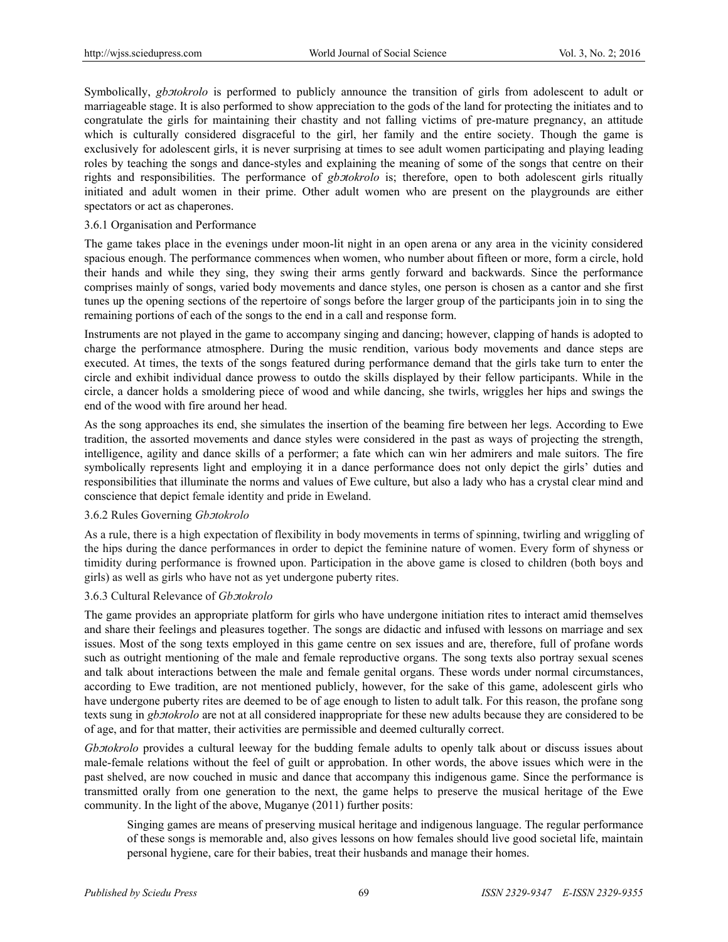Symbolically, *gbotokrolo* is performed to publicly announce the transition of girls from adolescent to adult or marriageable stage. It is also performed to show appreciation to the gods of the land for protecting the initiates and to congratulate the girls for maintaining their chastity and not falling victims of pre-mature pregnancy, an attitude which is culturally considered disgraceful to the girl, her family and the entire society. Though the game is exclusively for adolescent girls, it is never surprising at times to see adult women participating and playing leading roles by teaching the songs and dance-styles and explaining the meaning of some of the songs that centre on their rights and responsibilities. The performance of *gbotokrolo* is; therefore, open to both adolescent girls ritually initiated and adult women in their prime. Other adult women who are present on the playgrounds are either spectators or act as chaperones.

#### 3.6.1 Organisation and Performance

The game takes place in the evenings under moon-lit night in an open arena or any area in the vicinity considered spacious enough. The performance commences when women, who number about fifteen or more, form a circle, hold their hands and while they sing, they swing their arms gently forward and backwards. Since the performance comprises mainly of songs, varied body movements and dance styles, one person is chosen as a cantor and she first tunes up the opening sections of the repertoire of songs before the larger group of the participants join in to sing the remaining portions of each of the songs to the end in a call and response form.

Instruments are not played in the game to accompany singing and dancing; however, clapping of hands is adopted to charge the performance atmosphere. During the music rendition, various body movements and dance steps are executed. At times, the texts of the songs featured during performance demand that the girls take turn to enter the circle and exhibit individual dance prowess to outdo the skills displayed by their fellow participants. While in the circle, a dancer holds a smoldering piece of wood and while dancing, she twirls, wriggles her hips and swings the end of the wood with fire around her head.

As the song approaches its end, she simulates the insertion of the beaming fire between her legs. According to Ewe tradition, the assorted movements and dance styles were considered in the past as ways of projecting the strength, intelligence, agility and dance skills of a performer; a fate which can win her admirers and male suitors. The fire symbolically represents light and employing it in a dance performance does not only depict the girls' duties and responsibilities that illuminate the norms and values of Ewe culture, but also a lady who has a crystal clear mind and conscience that depict female identity and pride in Eweland.

## 3.6.2 Rules Governing *Gb*ɔ*tokrolo*

As a rule, there is a high expectation of flexibility in body movements in terms of spinning, twirling and wriggling of the hips during the dance performances in order to depict the feminine nature of women. Every form of shyness or timidity during performance is frowned upon. Participation in the above game is closed to children (both boys and girls) as well as girls who have not as yet undergone puberty rites.

## 3.6.3 Cultural Relevance of *Gb*ɔ*tokrolo*

The game provides an appropriate platform for girls who have undergone initiation rites to interact amid themselves and share their feelings and pleasures together. The songs are didactic and infused with lessons on marriage and sex issues. Most of the song texts employed in this game centre on sex issues and are, therefore, full of profane words such as outright mentioning of the male and female reproductive organs. The song texts also portray sexual scenes and talk about interactions between the male and female genital organs. These words under normal circumstances, according to Ewe tradition, are not mentioned publicly, however, for the sake of this game, adolescent girls who have undergone puberty rites are deemed to be of age enough to listen to adult talk. For this reason, the profane song texts sung in *gb*ɔ*tokrolo* are not at all considered inappropriate for these new adults because they are considered to be of age, and for that matter, their activities are permissible and deemed culturally correct.

*Gb*<sub>2</sub>*tokrolo* provides a cultural leeway for the budding female adults to openly talk about or discuss issues about male-female relations without the feel of guilt or approbation. In other words, the above issues which were in the past shelved, are now couched in music and dance that accompany this indigenous game. Since the performance is transmitted orally from one generation to the next, the game helps to preserve the musical heritage of the Ewe community. In the light of the above, Muganye (2011) further posits:

Singing games are means of preserving musical heritage and indigenous language. The regular performance of these songs is memorable and, also gives lessons on how females should live good societal life, maintain personal hygiene, care for their babies, treat their husbands and manage their homes.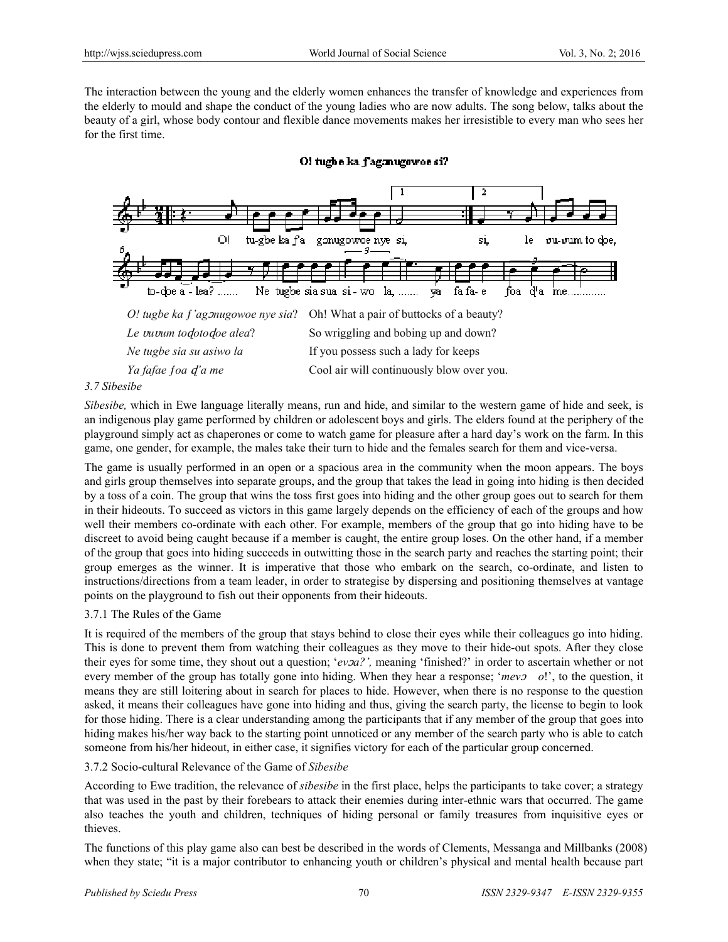The interaction between the young and the elderly women enhances the transfer of knowledge and experiences from the elderly to mould and shape the conduct of the young ladies who are now adults. The song below, talks about the beauty of a girl, whose body contour and flexible dance movements makes her irresistible to every man who sees her for the first time.

## O! tughe ka f'agmugowoe si?



#### *3.7 Sibesibe*

*Sibesibe,* which in Ewe language literally means, run and hide, and similar to the western game of hide and seek, is an indigenous play game performed by children or adolescent boys and girls. The elders found at the periphery of the playground simply act as chaperones or come to watch game for pleasure after a hard day's work on the farm. In this game, one gender, for example, the males take their turn to hide and the females search for them and vice-versa.

The game is usually performed in an open or a spacious area in the community when the moon appears. The boys and girls group themselves into separate groups, and the group that takes the lead in going into hiding is then decided by a toss of a coin. The group that wins the toss first goes into hiding and the other group goes out to search for them in their hideouts. To succeed as victors in this game largely depends on the efficiency of each of the groups and how well their members co-ordinate with each other. For example, members of the group that go into hiding have to be discreet to avoid being caught because if a member is caught, the entire group loses. On the other hand, if a member of the group that goes into hiding succeeds in outwitting those in the search party and reaches the starting point; their group emerges as the winner. It is imperative that those who embark on the search, co-ordinate, and listen to instructions/directions from a team leader, in order to strategise by dispersing and positioning themselves at vantage points on the playground to fish out their opponents from their hideouts.

## 3.7.1 The Rules of the Game

It is required of the members of the group that stays behind to close their eyes while their colleagues go into hiding. This is done to prevent them from watching their colleagues as they move to their hide-out spots. After they close their eyes for some time, they shout out a question; '*ev*ɔ*a?',* meaning 'finished?' in order to ascertain whether or not every member of the group has totally gone into hiding. When they hear a response; '*mev*ɔ *o*!', to the question, it means they are still loitering about in search for places to hide. However, when there is no response to the question asked, it means their colleagues have gone into hiding and thus, giving the search party, the license to begin to look for those hiding. There is a clear understanding among the participants that if any member of the group that goes into hiding makes his/her way back to the starting point unnoticed or any member of the search party who is able to catch someone from his/her hideout, in either case, it signifies victory for each of the particular group concerned.

#### 3.7.2 Socio-cultural Relevance of the Game of *Sibesibe*

According to Ewe tradition, the relevance of *sibesibe* in the first place, helps the participants to take cover; a strategy that was used in the past by their forebears to attack their enemies during inter-ethnic wars that occurred. The game also teaches the youth and children, techniques of hiding personal or family treasures from inquisitive eyes or thieves.

The functions of this play game also can best be described in the words of Clements, Messanga and Millbanks (2008) when they state; "it is a major contributor to enhancing youth or children's physical and mental health because part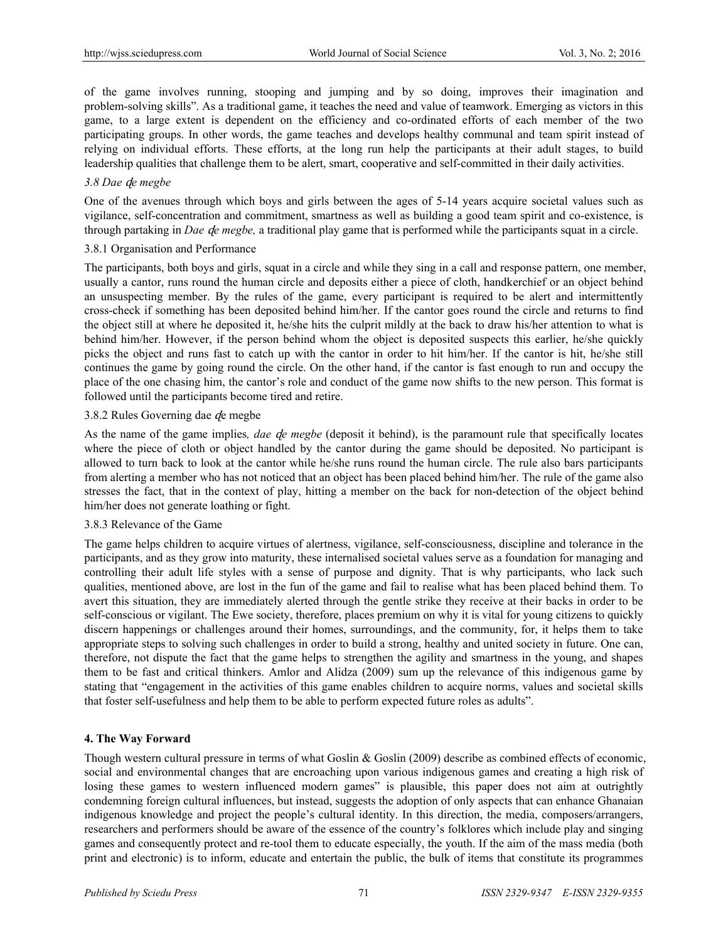of the game involves running, stooping and jumping and by so doing, improves their imagination and problem-solving skills". As a traditional game, it teaches the need and value of teamwork. Emerging as victors in this game, to a large extent is dependent on the efficiency and co-ordinated efforts of each member of the two participating groups. In other words, the game teaches and develops healthy communal and team spirit instead of relying on individual efforts. These efforts, at the long run help the participants at their adult stages, to build leadership qualities that challenge them to be alert, smart, cooperative and self-committed in their daily activities.

## *3.8 Dae* ɖ*e megbe*

One of the avenues through which boys and girls between the ages of 5-14 years acquire societal values such as vigilance, self-concentration and commitment, smartness as well as building a good team spirit and co-existence, is through partaking in *Dae* ɖ*e megbe,* a traditional play game that is performed while the participants squat in a circle.

## 3.8.1 Organisation and Performance

The participants, both boys and girls, squat in a circle and while they sing in a call and response pattern, one member, usually a cantor, runs round the human circle and deposits either a piece of cloth, handkerchief or an object behind an unsuspecting member. By the rules of the game, every participant is required to be alert and intermittently cross-check if something has been deposited behind him/her. If the cantor goes round the circle and returns to find the object still at where he deposited it, he/she hits the culprit mildly at the back to draw his/her attention to what is behind him/her. However, if the person behind whom the object is deposited suspects this earlier, he/she quickly picks the object and runs fast to catch up with the cantor in order to hit him/her. If the cantor is hit, he/she still continues the game by going round the circle. On the other hand, if the cantor is fast enough to run and occupy the place of the one chasing him, the cantor's role and conduct of the game now shifts to the new person. This format is followed until the participants become tired and retire.

#### 3.8.2 Rules Governing dae  $\phi$ e megbe

As the name of the game implies, dae de megbe (deposit it behind), is the paramount rule that specifically locates where the piece of cloth or object handled by the cantor during the game should be deposited. No participant is allowed to turn back to look at the cantor while he/she runs round the human circle. The rule also bars participants from alerting a member who has not noticed that an object has been placed behind him/her. The rule of the game also stresses the fact, that in the context of play, hitting a member on the back for non-detection of the object behind him/her does not generate loathing or fight.

## 3.8.3 Relevance of the Game

The game helps children to acquire virtues of alertness, vigilance, self-consciousness, discipline and tolerance in the participants, and as they grow into maturity, these internalised societal values serve as a foundation for managing and controlling their adult life styles with a sense of purpose and dignity. That is why participants, who lack such qualities, mentioned above, are lost in the fun of the game and fail to realise what has been placed behind them. To avert this situation, they are immediately alerted through the gentle strike they receive at their backs in order to be self-conscious or vigilant. The Ewe society, therefore, places premium on why it is vital for young citizens to quickly discern happenings or challenges around their homes, surroundings, and the community, for, it helps them to take appropriate steps to solving such challenges in order to build a strong, healthy and united society in future. One can, therefore, not dispute the fact that the game helps to strengthen the agility and smartness in the young, and shapes them to be fast and critical thinkers. Amlor and Alidza (2009) sum up the relevance of this indigenous game by stating that "engagement in the activities of this game enables children to acquire norms, values and societal skills that foster self-usefulness and help them to be able to perform expected future roles as adults".

## **4. The Way Forward**

Though western cultural pressure in terms of what Goslin & Goslin (2009) describe as combined effects of economic, social and environmental changes that are encroaching upon various indigenous games and creating a high risk of losing these games to western influenced modern games" is plausible, this paper does not aim at outrightly condemning foreign cultural influences, but instead, suggests the adoption of only aspects that can enhance Ghanaian indigenous knowledge and project the people's cultural identity. In this direction, the media, composers/arrangers, researchers and performers should be aware of the essence of the country's folklores which include play and singing games and consequently protect and re-tool them to educate especially, the youth. If the aim of the mass media (both print and electronic) is to inform, educate and entertain the public, the bulk of items that constitute its programmes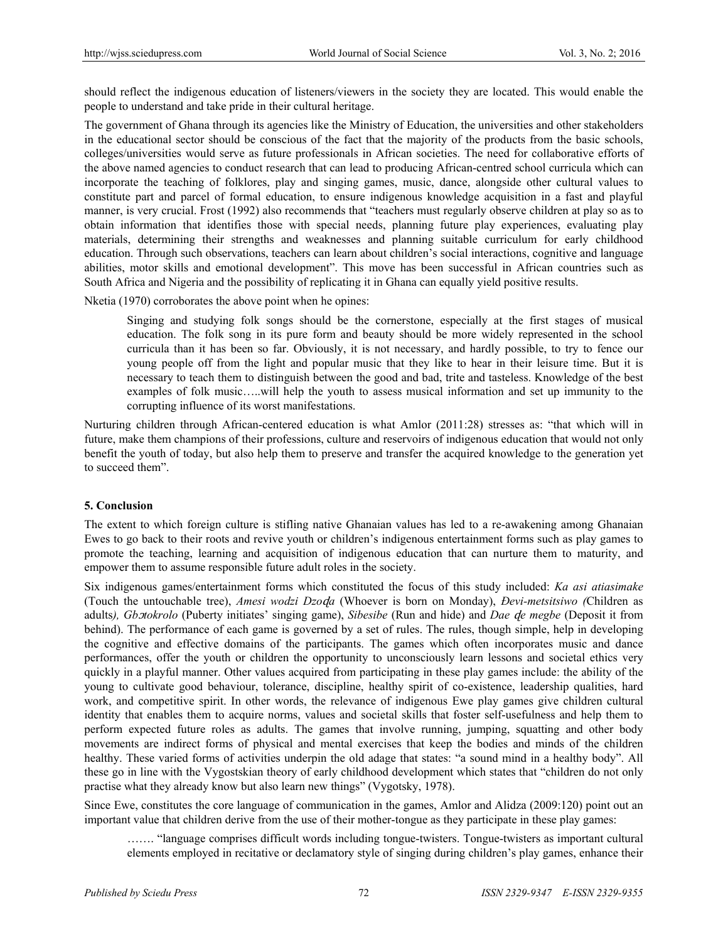should reflect the indigenous education of listeners/viewers in the society they are located. This would enable the people to understand and take pride in their cultural heritage.

The government of Ghana through its agencies like the Ministry of Education, the universities and other stakeholders in the educational sector should be conscious of the fact that the majority of the products from the basic schools, colleges/universities would serve as future professionals in African societies. The need for collaborative efforts of the above named agencies to conduct research that can lead to producing African-centred school curricula which can incorporate the teaching of folklores, play and singing games, music, dance, alongside other cultural values to constitute part and parcel of formal education, to ensure indigenous knowledge acquisition in a fast and playful manner, is very crucial. Frost (1992) also recommends that "teachers must regularly observe children at play so as to obtain information that identifies those with special needs, planning future play experiences, evaluating play materials, determining their strengths and weaknesses and planning suitable curriculum for early childhood education. Through such observations, teachers can learn about children's social interactions, cognitive and language abilities, motor skills and emotional development". This move has been successful in African countries such as South Africa and Nigeria and the possibility of replicating it in Ghana can equally yield positive results.

Nketia (1970) corroborates the above point when he opines:

Singing and studying folk songs should be the cornerstone, especially at the first stages of musical education. The folk song in its pure form and beauty should be more widely represented in the school curricula than it has been so far. Obviously, it is not necessary, and hardly possible, to try to fence our young people off from the light and popular music that they like to hear in their leisure time. But it is necessary to teach them to distinguish between the good and bad, trite and tasteless. Knowledge of the best examples of folk music…..will help the youth to assess musical information and set up immunity to the corrupting influence of its worst manifestations.

Nurturing children through African-centered education is what Amlor (2011:28) stresses as: "that which will in future, make them champions of their professions, culture and reservoirs of indigenous education that would not only benefit the youth of today, but also help them to preserve and transfer the acquired knowledge to the generation yet to succeed them".

#### **5. Conclusion**

The extent to which foreign culture is stifling native Ghanaian values has led to a re-awakening among Ghanaian Ewes to go back to their roots and revive youth or children's indigenous entertainment forms such as play games to promote the teaching, learning and acquisition of indigenous education that can nurture them to maturity, and empower them to assume responsible future adult roles in the society.

Six indigenous games/entertainment forms which constituted the focus of this study included: *Ka asi atiasimake*  (Touch the untouchable tree), *Amesi wodzi Dzo*ɖ*a* (Whoever is born on Monday), *Ðevi-metsitsiwo (*Children as adults*), Gb*ɔ*tokrolo* (Puberty initiates' singing game), *Sibesibe* (Run and hide) and *Dae* ɖ*e megbe* (Deposit it from behind). The performance of each game is governed by a set of rules. The rules, though simple, help in developing the cognitive and effective domains of the participants. The games which often incorporates music and dance performances, offer the youth or children the opportunity to unconsciously learn lessons and societal ethics very quickly in a playful manner. Other values acquired from participating in these play games include: the ability of the young to cultivate good behaviour, tolerance, discipline, healthy spirit of co-existence, leadership qualities, hard work, and competitive spirit. In other words, the relevance of indigenous Ewe play games give children cultural identity that enables them to acquire norms, values and societal skills that foster self-usefulness and help them to perform expected future roles as adults. The games that involve running, jumping, squatting and other body movements are indirect forms of physical and mental exercises that keep the bodies and minds of the children healthy. These varied forms of activities underpin the old adage that states: "a sound mind in a healthy body". All these go in line with the Vygostskian theory of early childhood development which states that "children do not only practise what they already know but also learn new things" (Vygotsky, 1978).

Since Ewe, constitutes the core language of communication in the games, Amlor and Alidza (2009:120) point out an important value that children derive from the use of their mother-tongue as they participate in these play games:

……. "language comprises difficult words including tongue-twisters. Tongue-twisters as important cultural elements employed in recitative or declamatory style of singing during children's play games, enhance their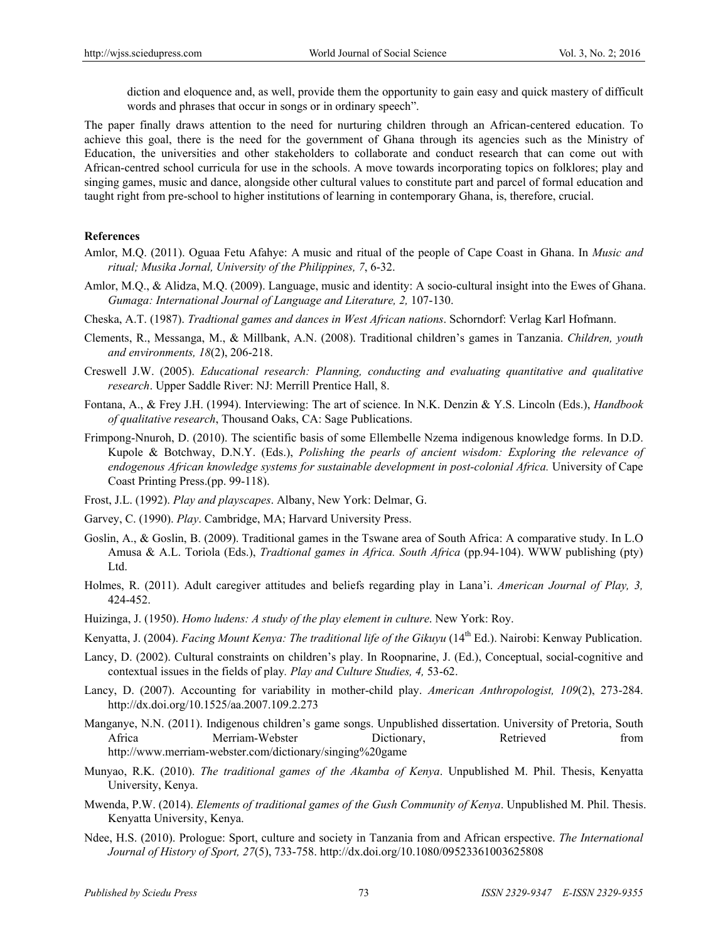diction and eloquence and, as well, provide them the opportunity to gain easy and quick mastery of difficult words and phrases that occur in songs or in ordinary speech".

The paper finally draws attention to the need for nurturing children through an African-centered education. To achieve this goal, there is the need for the government of Ghana through its agencies such as the Ministry of Education, the universities and other stakeholders to collaborate and conduct research that can come out with African-centred school curricula for use in the schools. A move towards incorporating topics on folklores; play and singing games, music and dance, alongside other cultural values to constitute part and parcel of formal education and taught right from pre-school to higher institutions of learning in contemporary Ghana, is, therefore, crucial.

#### **References**

- Amlor, M.Q. (2011). Oguaa Fetu Afahye: A music and ritual of the people of Cape Coast in Ghana. In *Music and ritual; Musika Jornal, University of the Philippines, 7*, 6-32.
- Amlor, M.Q., & Alidza, M.Q. (2009). Language, music and identity: A socio-cultural insight into the Ewes of Ghana. *Gumaga: International Journal of Language and Literature, 2,* 107-130.
- Cheska, A.T. (1987). *Tradtional games and dances in West African nations*. Schorndorf: Verlag Karl Hofmann.
- Clements, R., Messanga, M., & Millbank, A.N. (2008). Traditional children's games in Tanzania. *Children, youth and environments, 18*(2), 206-218.
- Creswell J.W. (2005). *Educational research: Planning, conducting and evaluating quantitative and qualitative research*. Upper Saddle River: NJ: Merrill Prentice Hall, 8.
- Fontana, A., & Frey J.H. (1994). Interviewing: The art of science. In N.K. Denzin & Y.S. Lincoln (Eds.), *Handbook of qualitative research*, Thousand Oaks, CA: Sage Publications.
- Frimpong-Nnuroh, D. (2010). The scientific basis of some Ellembelle Nzema indigenous knowledge forms. In D.D. Kupole & Botchway, D.N.Y. (Eds.), *Polishing the pearls of ancient wisdom: Exploring the relevance of endogenous African knowledge systems for sustainable development in post-colonial Africa.* University of Cape Coast Printing Press.(pp. 99-118).
- Frost, J.L. (1992). *Play and playscapes*. Albany, New York: Delmar, G.
- Garvey, C. (1990). *Play*. Cambridge, MA; Harvard University Press.
- Goslin, A., & Goslin, B. (2009). Traditional games in the Tswane area of South Africa: A comparative study. In L.O Amusa & A.L. Toriola (Eds.), *Tradtional games in Africa. South Africa* (pp.94-104). WWW publishing (pty) Ltd.
- Holmes, R. (2011). Adult caregiver attitudes and beliefs regarding play in Lana'i. *American Journal of Play, 3,*  424-452.
- Huizinga, J. (1950). *Homo ludens: A study of the play element in culture*. New York: Roy.
- Kenyatta, J. (2004). *Facing Mount Kenya: The traditional life of the Gikuyu* (14<sup>th</sup> Ed.). Nairobi: Kenway Publication.
- Lancy, D. (2002). Cultural constraints on children's play. In Roopnarine, J. (Ed.), Conceptual, social-cognitive and contextual issues in the fields of play*. Play and Culture Studies, 4,* 53-62.
- Lancy, D. (2007). Accounting for variability in mother-child play. *American Anthropologist, 109*(2), 273-284. http://dx.doi.org/10.1525/aa.2007.109.2.273
- Manganye, N.N. (2011). Indigenous children's game songs. Unpublished dissertation. University of Pretoria, South Africa Merriam-Webster Dictionary, Retrieved from http://www.merriam-webster.com/dictionary/singing%20game
- Munyao, R.K. (2010). *The traditional games of the Akamba of Kenya*. Unpublished M. Phil. Thesis, Kenyatta University, Kenya.
- Mwenda, P.W. (2014). *Elements of traditional games of the Gush Community of Kenya*. Unpublished M. Phil. Thesis. Kenyatta University, Kenya.
- Ndee, H.S. (2010). Prologue: Sport, culture and society in Tanzania from and African erspective. *The International Journal of History of Sport, 27*(5), 733-758. http://dx.doi.org/10.1080/09523361003625808